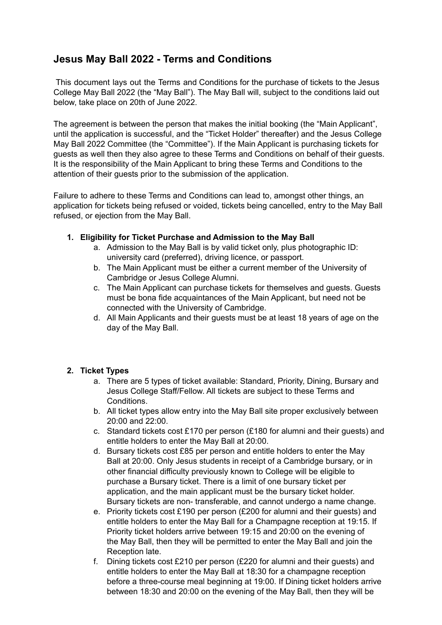# **Jesus May Ball 2022 - Terms and Conditions**

This document lays out the Terms and Conditions for the purchase of tickets to the Jesus College May Ball 2022 (the "May Ball"). The May Ball will, subject to the conditions laid out below, take place on 20th of June 2022.

The agreement is between the person that makes the initial booking (the "Main Applicant", until the application is successful, and the "Ticket Holder" thereafter) and the Jesus College May Ball 2022 Committee (the "Committee"). If the Main Applicant is purchasing tickets for guests as well then they also agree to these Terms and Conditions on behalf of their guests. It is the responsibility of the Main Applicant to bring these Terms and Conditions to the attention of their guests prior to the submission of the application.

Failure to adhere to these Terms and Conditions can lead to, amongst other things, an application for tickets being refused or voided, tickets being cancelled, entry to the May Ball refused, or ejection from the May Ball.

- **1. Eligibility for Ticket Purchase and Admission to the May Ball**
	- a. Admission to the May Ball is by valid ticket only, plus photographic ID: university card (preferred), driving licence, or passport.
	- b. The Main Applicant must be either a current member of the University of Cambridge or Jesus College Alumni.
	- c. The Main Applicant can purchase tickets for themselves and guests. Guests must be bona fide acquaintances of the Main Applicant, but need not be connected with the University of Cambridge.
	- d. All Main Applicants and their guests must be at least 18 years of age on the day of the May Ball.

# **2. Ticket Types**

- a. There are 5 types of ticket available: Standard, Priority, Dining, Bursary and Jesus College Staff/Fellow. All tickets are subject to these Terms and Conditions.
- b. All ticket types allow entry into the May Ball site proper exclusively between 20:00 and 22:00.
- c. Standard tickets cost £170 per person (£180 for alumni and their guests) and entitle holders to enter the May Ball at 20:00.
- d. Bursary tickets cost £85 per person and entitle holders to enter the May Ball at 20:00. Only Jesus students in receipt of a Cambridge bursary, or in other financial difficulty previously known to College will be eligible to purchase a Bursary ticket. There is a limit of one bursary ticket per application, and the main applicant must be the bursary ticket holder. Bursary tickets are non- transferable, and cannot undergo a name change.
- e. Priority tickets cost £190 per person (£200 for alumni and their guests) and entitle holders to enter the May Ball for a Champagne reception at 19:15. If Priority ticket holders arrive between 19:15 and 20:00 on the evening of the May Ball, then they will be permitted to enter the May Ball and join the Reception late.
- f. Dining tickets cost £210 per person (£220 for alumni and their guests) and entitle holders to enter the May Ball at 18:30 for a champagne reception before a three-course meal beginning at 19:00. If Dining ticket holders arrive between 18:30 and 20:00 on the evening of the May Ball, then they will be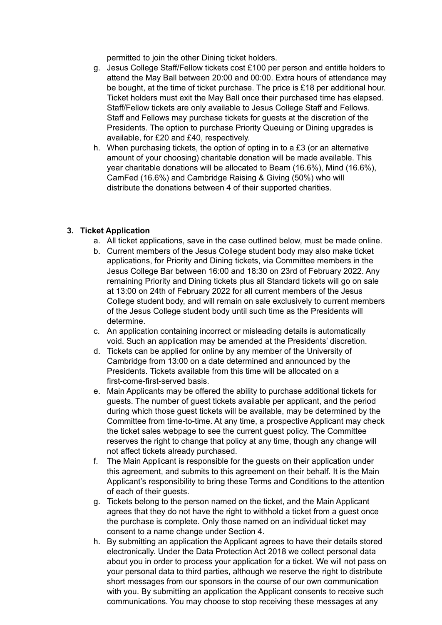permitted to join the other Dining ticket holders.

- g. Jesus College Staff/Fellow tickets cost £100 per person and entitle holders to attend the May Ball between 20:00 and 00:00. Extra hours of attendance may be bought, at the time of ticket purchase. The price is £18 per additional hour. Ticket holders must exit the May Ball once their purchased time has elapsed. Staff/Fellow tickets are only available to Jesus College Staff and Fellows. Staff and Fellows may purchase tickets for guests at the discretion of the Presidents. The option to purchase Priority Queuing or Dining upgrades is available, for £20 and £40, respectively.
- h. When purchasing tickets, the option of opting in to a £3 (or an alternative amount of your choosing) charitable donation will be made available. This year charitable donations will be allocated to Beam (16.6%), Mind (16.6%), CamFed (16.6%) and Cambridge Raising & Giving (50%) who will distribute the donations between 4 of their supported charities.

## **3. Ticket Application**

- a. All ticket applications, save in the case outlined below, must be made online.
- b. Current members of the Jesus College student body may also make ticket applications, for Priority and Dining tickets, via Committee members in the Jesus College Bar between 16:00 and 18:30 on 23rd of February 2022. Any remaining Priority and Dining tickets plus all Standard tickets will go on sale at 13:00 on 24th of February 2022 for all current members of the Jesus College student body, and will remain on sale exclusively to current members of the Jesus College student body until such time as the Presidents will determine.
- c. An application containing incorrect or misleading details is automatically void. Such an application may be amended at the Presidents' discretion.
- d. Tickets can be applied for online by any member of the University of Cambridge from 13:00 on a date determined and announced by the Presidents. Tickets available from this time will be allocated on a first-come-first-served basis.
- e. Main Applicants may be offered the ability to purchase additional tickets for guests. The number of guest tickets available per applicant, and the period during which those guest tickets will be available, may be determined by the Committee from time-to-time. At any time, a prospective Applicant may check the ticket sales webpage to see the current guest policy. The Committee reserves the right to change that policy at any time, though any change will not affect tickets already purchased.
- f. The Main Applicant is responsible for the guests on their application under this agreement, and submits to this agreement on their behalf. It is the Main Applicant's responsibility to bring these Terms and Conditions to the attention of each of their guests.
- g. Tickets belong to the person named on the ticket, and the Main Applicant agrees that they do not have the right to withhold a ticket from a guest once the purchase is complete. Only those named on an individual ticket may consent to a name change under Section 4.
- h. By submitting an application the Applicant agrees to have their details stored electronically. Under the Data Protection Act 2018 we collect personal data about you in order to process your application for a ticket. We will not pass on your personal data to third parties, although we reserve the right to distribute short messages from our sponsors in the course of our own communication with you. By submitting an application the Applicant consents to receive such communications. You may choose to stop receiving these messages at any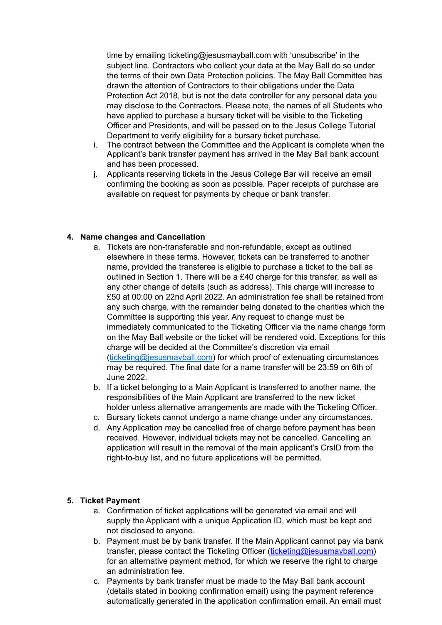time by emailing [ticketing@jesusmayball.com](mailto:ticketing@jesusmayball.com) with 'unsubscribe' in the subject line. Contractors who collect your data at the May Ball do so under the terms of their own Data Protection policies. The May Ball Committee has drawn the attention of Contractors to their obligations under the Data Protection Act 2018, but is not the data controller for any personal data you may disclose to the Contractors. Please note, the names of all Students who have applied to purchase a bursary ticket will be visible to the Ticketing Officer and Presidents, and will be passed on to the Jesus College Tutorial Department to verify eligibility for a bursary ticket purchase.

- i. The contract between the Committee and the Applicant is complete when the Applicant's bank transfer payment has arrived in the May Ball bank account and has been processed.
- j. Applicants reserving tickets in the Jesus College Bar will receive an email confirming the booking as soon as possible. Paper receipts of purchase are available on request for payments by cheque or bank transfer.

#### **4. Name changes and Cancellation**

- a. Tickets are non-transferable and non-refundable, except as outlined elsewhere in these terms. However, tickets can be transferred to another name, provided the transferee is eligible to purchase a ticket to the ball as outlined in Section 1. There will be a £40 charge for this transfer, as well as any other change of details (such as address). This charge will increase to £50 at 00:00 on 22nd April 2022. An administration fee shall be retained from any such charge, with the remainder being donated to the charities which the Committee is supporting this year. Any request to change must be immediately communicated to the Ticketing Officer via the name change form on the May Ball website or the ticket will be rendered void. Exceptions for this charge will be decided at the Committee's discretion via email (ticketing@jesusmayball.com) for which proof of extenuating circumstances may be required. The final date for a name transfer will be 23:59 on 6th of June 2022.
- b. If a ticket belonging to a Main Applicant is transferred to another name, the responsibilities of the Main Applicant are transferred to the new ticket holder unless alternative arrangements are made with the Ticketing Officer.
- c. Bursary tickets cannot undergo a name change under any circumstances.
- d. Any Application may be cancelled free of charge before payment has been received. However, individual tickets may not be cancelled. Cancelling an application will result in the removal of the main applicant's CrsID from the right-to-buy list, and no future applications will be permitted.

#### **5. Ticket Payment**

- a. Confirmation of ticket applications will be generated via email and will supply the Applicant with a unique Application ID, which must be kept and not disclosed to anyone.
- b. Payment must be by bank transfer. If the Main Applicant cannot pay via bank transfer, please contact the Ticketing Officer (ticketing@jesusmayball.com) for an alternative payment method, for which we reserve the right to charge an administration fee.
- c. Payments by bank transfer must be made to the May Ball bank account (details stated in booking confirmation email) using the payment reference automatically generated in the application confirmation email. An email must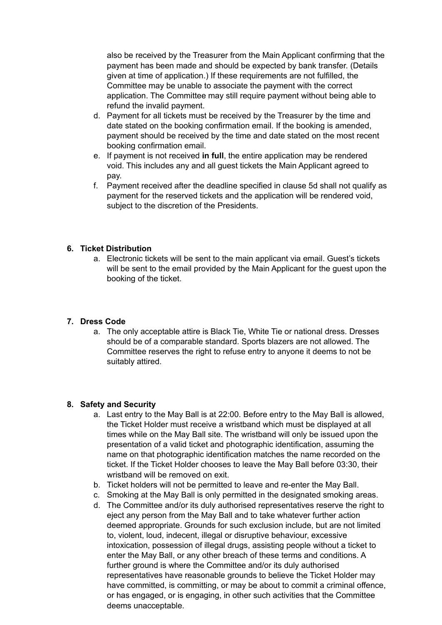also be received by the Treasurer from the Main Applicant confirming that the payment has been made and should be expected by bank transfer. (Details given at time of application.) If these requirements are not fulfilled, the Committee may be unable to associate the payment with the correct application. The Committee may still require payment without being able to refund the invalid payment.

- d. Payment for all tickets must be received by the Treasurer by the time and date stated on the booking confirmation email. If the booking is amended, payment should be received by the time and date stated on the most recent booking confirmation email.
- e. If payment is not received **in full**, the entire application may be rendered void. This includes any and all guest tickets the Main Applicant agreed to pay.
- f. Payment received after the deadline specified in clause 5d shall not qualify as payment for the reserved tickets and the application will be rendered void, subject to the discretion of the Presidents.

## **6. Ticket Distribution**

a. Electronic tickets will be sent to the main applicant via email. Guest's tickets will be sent to the email provided by the Main Applicant for the guest upon the booking of the ticket.

# **7. Dress Code**

a. The only acceptable attire is Black Tie, White Tie or national dress. Dresses should be of a comparable standard. Sports blazers are not allowed. The Committee reserves the right to refuse entry to anyone it deems to not be suitably attired.

#### **8. Safety and Security**

- a. Last entry to the May Ball is at 22:00. Before entry to the May Ball is allowed, the Ticket Holder must receive a wristband which must be displayed at all times while on the May Ball site. The wristband will only be issued upon the presentation of a valid ticket and photographic identification, assuming the name on that photographic identification matches the name recorded on the ticket. If the Ticket Holder chooses to leave the May Ball before 03:30, their wristband will be removed on exit.
- b. Ticket holders will not be permitted to leave and re-enter the May Ball.
- c. Smoking at the May Ball is only permitted in the designated smoking areas.
- d. The Committee and/or its duly authorised representatives reserve the right to eject any person from the May Ball and to take whatever further action deemed appropriate. Grounds for such exclusion include, but are not limited to, violent, loud, indecent, illegal or disruptive behaviour, excessive intoxication, possession of illegal drugs, assisting people without a ticket to enter the May Ball, or any other breach of these terms and conditions. A further ground is where the Committee and/or its duly authorised representatives have reasonable grounds to believe the Ticket Holder may have committed, is committing, or may be about to commit a criminal offence, or has engaged, or is engaging, in other such activities that the Committee deems unacceptable.